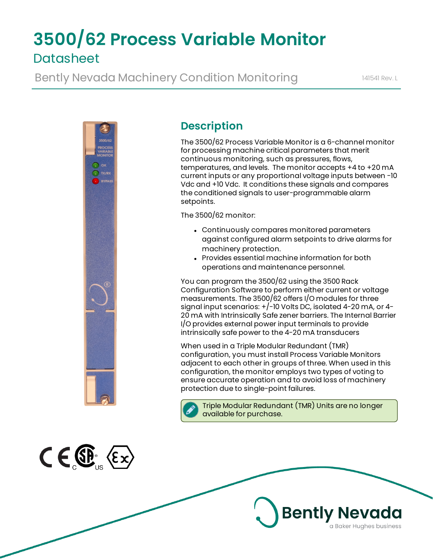# **3500/62 Process Variable Monitor Datasheet**

Bently Nevada Machinery Condition Monitoring 141541 Rev. L



 $C \in \mathbb{G}$   $\langle \epsilon \times \rangle$ 

# **Description**

The 3500/62 Process Variable Monitor is a 6-channel monitor for processing machine critical parameters that merit continuous monitoring, such as pressures, flows, temperatures, and levels. The monitor accepts +4 to +20 mA current inputs or any proportional voltage inputs between -10 Vdc and +10 Vdc. It conditions these signals and compares the conditioned signals to user-programmable alarm setpoints.

The 3500/62 monitor:

- Continuously compares monitored parameters against configured alarm setpoints to drive alarms for machinery protection.
- Provides essential machine information for both operations and maintenance personnel.

You can program the 3500/62 using the 3500 Rack Configuration Software to perform either current or voltage measurements. The 3500/62 offers I/O modules for three signal input scenarios: +/-10 Volts DC, isolated 4-20 mA, or 4- 20 mA with Intrinsically Safe zener barriers. The Internal Barrier I/O provides external power input terminals to provide intrinsically safe power to the 4-20 mA transducers

When used in a Triple Modular Redundant (TMR) configuration, you must install Process Variable Monitors adjacent to each other in groups of three. When used in this configuration, the monitor employs two types of voting to ensure accurate operation and to avoid loss of machinery protection due to single-point failures.



Triple Modular Redundant (TMR) Units are no longer available for purchase.

**Bently Nevada** 

a Baker Hughes business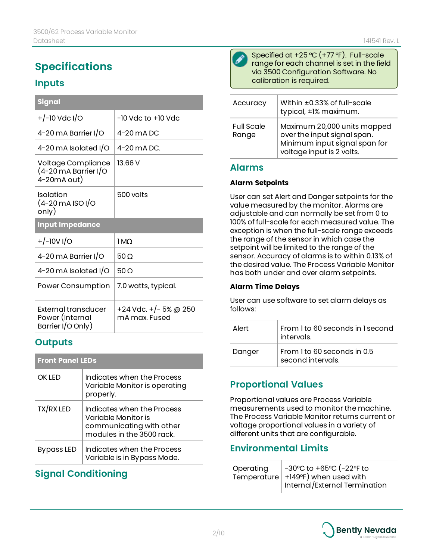# **Specifications**

### **Inputs**

| <b>Signal</b>                                                       |                                        |
|---------------------------------------------------------------------|----------------------------------------|
| $+/-10$ Vdc I/O                                                     | -10 Vdc to +10 Vdc                     |
| 4-20 mA Barrier I/O                                                 | 4-20 mA DC                             |
| 4-20 mA Isolated I/O                                                | 4-20 mA DC.                            |
| Voltage Compliance<br>$(4-20 \text{ mA}$ Barrier I/O<br>4-20mA out) | 13.66V                                 |
| Isolation<br>$(4 - 20 \text{ mA}$ ISO I/O<br>only)                  | 500 volts                              |
| <b>Input Impedance</b>                                              |                                        |
| $+/-10V1/O$                                                         | 1 MO                                   |
| 4-20 mA Barrier I/O                                                 | $50\,\Omega$                           |
| 4-20 mA Isolated I/O                                                | 50 O                                   |
| Power Consumption                                                   | 7.0 watts, typical.                    |
| External transducer<br>Power (Internal<br>Barrier I/O Only)         | +24 Vdc. +/- 5% @ 250<br>mA max. Fused |

### **Outputs**

| <b>Front Panel LEDs</b> |                                                                                                            |
|-------------------------|------------------------------------------------------------------------------------------------------------|
| OK I FD                 | Indicates when the Process<br>Variable Monitor is operating<br>properly.                                   |
| TX/RX LED               | Indicates when the Process<br>Variable Monitor is<br>communicating with other<br>modules in the 3500 rack. |
| Bypass LED              | Indicates when the Process<br>Variable is in Bypass Mode.                                                  |

# **Signal Conditioning**



Specified at +25 °C (+77 °F). Full-scale range for each channel is set in the field via 3500 Configuration Software. No calibration is required.

| Accuracy                   | Within ±0.33% of full-scale<br>typical, ±1% maximum.                                                                     |
|----------------------------|--------------------------------------------------------------------------------------------------------------------------|
| <b>Full Scale</b><br>Range | Maximum 20,000 units mapped<br>over the input signal span.<br>Minimum input signal span for<br>voltage input is 2 volts. |

### **Alarms**

#### **Alarm Setpoints**

User can set Alert and Danger setpoints for the value measured by the monitor. Alarms are adjustable and can normally be set from 0 to 100% of full-scale for each measured value. The exception is when the full-scale range exceeds the range of the sensor in which case the setpoint will be limited to the range of the sensor. Accuracy of alarms is to within 0.13% of the desired value. The Process Variable Monitor has both under and over alarm setpoints.

#### **Alarm Time Delays**

User can use software to set alarm delays as follows:

| Alert  | From 1 to 60 seconds in 1 second<br>intervals.   |
|--------|--------------------------------------------------|
| Danger | From 1 to 60 seconds in 0.5<br>second intervals. |

### **Proportional Values**

Proportional values are Process Variable measurements used to monitor the machine. The Process Variable Monitor returns current or voltage proportional values in a variety of different units that are configurable.

### **Environmental Limits**

| Operating | -30°C to +65°C (-22°F to             |
|-----------|--------------------------------------|
|           | Temperature   +149°F) when used with |
|           | Internal/External Termination        |

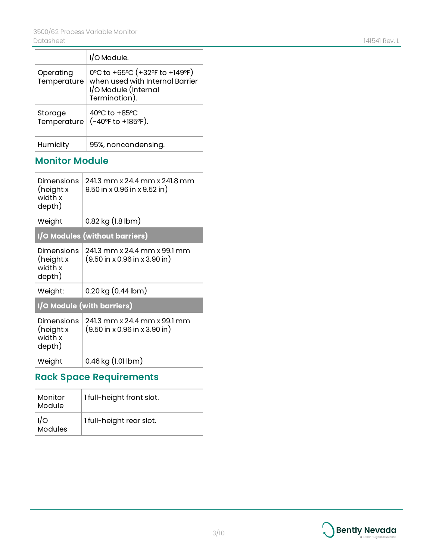|                          | I/O Module.                                                                                                   |
|--------------------------|---------------------------------------------------------------------------------------------------------------|
| Operating<br>Temperature | 0°C to +65°C (+32°F to +149°F)<br>when used with Internal Barrier<br>I/O Module (Internal<br>$i$ ermination). |
| Storage<br>Temperature   | 40°C to +85°C<br>(-40°F to +185°F).                                                                           |
| Humidity                 | 95%, noncondensing.                                                                                           |

## **Monitor Module**

| Dimensions<br>(height x<br>width x<br>depth) | 241.3 mm x 24.4 mm x 241.8 mm<br>$9.50$ in x 0.96 in x $9.52$ in )                        |
|----------------------------------------------|-------------------------------------------------------------------------------------------|
| Weight                                       | $0.82$ kg $(l.8$ lbm $)$                                                                  |
|                                              | I/O Modules (without barriers)                                                            |
| Dimensions<br>(height x<br>width x<br>depth) | 241.3 mm x 24.4 mm x 99.1 mm<br>$(9.50 \text{ in } x 0.96 \text{ in } x 3.90 \text{ in})$ |
| Weight:                                      | $0.20$ kg $(0.44$ lbm $)$                                                                 |
|                                              | 1/0 Module (with barriers)                                                                |
| Dimensions<br>(height x<br>width x<br>depth) | 241.3 mm x 24.4 mm x 99.1 mm<br>$(9.50 \text{ in } x 0.96 \text{ in } x 3.90 \text{ in})$ |
| Weight                                       | $0.46$ kg $(l.01$ lbm $)$                                                                 |
|                                              |                                                                                           |

# **Rack Space Requirements**

| Monitor<br>Module     | 1 full-height front slot. |
|-----------------------|---------------------------|
| I/O<br><b>Modules</b> | 1 full-height rear slot.  |

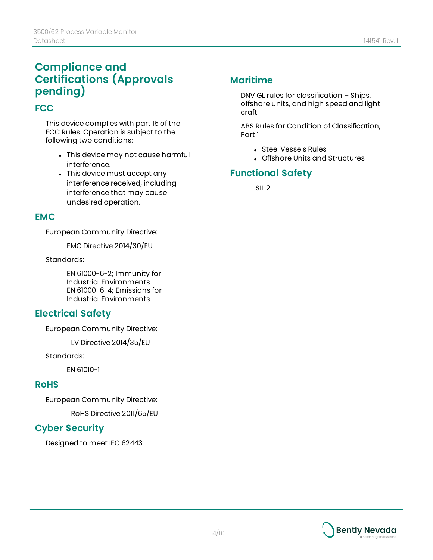# **Compliance and Certifications (Approvals pending)**

### **FCC**

This device complies with part 15 of the FCC Rules. Operation is subject to the following two conditions:

- This device may not cause harmful interference.
- This device must accept any interference received, including interference that may cause undesired operation.

### **EMC**

European Community Directive:

EMC Directive 2014/30/EU

Standards:

EN 61000-6-2; Immunity for Industrial Environments EN 61000-6-4; Emissions for Industrial Environments

### **Electrical Safety**

European Community Directive:

LV Directive 2014/35/EU

Standards:

EN 61010-1

### **RoHS**

European Community Directive:

RoHS Directive 2011/65/EU

### **Cyber Security**

Designed to meet IEC 62443

### **Maritime**

DNV GL rules for classification – Ships, offshore units, and high speed and light craft

ABS Rules for Condition of Classification, Part 1

- Steel Vessels Rules
- Offshore Units and Structures

### **Functional Safety**

SIL 2

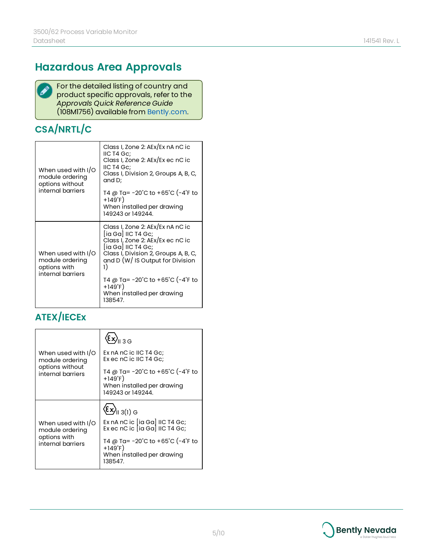# **Hazardous Area Approvals**



For the detailed listing of country and product specific approvals, refer to the *Approvals Quick Reference Guide* (108M1756) available from [Bently.com.](http://www.bently.com/)

# **CSA/NRTL/C**

| When used with I/O<br>module ordering<br>options without<br>internal barriers | Class I, Zone 2: AEx/Ex nA nC ic<br>IIC T4 Gc;<br>Class I, Zone 2: AEx/Ex ec nC ic<br>IIC T4 Gc;<br>Class I, Division 2, Groups A, B, C,<br>and D;<br>T4 @ Ta= −20˚C to +65˚C (−4˚F to<br>$+149^{\circ}F$<br>When installed per drawing<br>149243 or 149244.                                       |
|-------------------------------------------------------------------------------|----------------------------------------------------------------------------------------------------------------------------------------------------------------------------------------------------------------------------------------------------------------------------------------------------|
| When used with I/O<br>module ordering<br>options with<br>internal barriers    | Class I, Zone 2: AEx/Ex nA nC ic<br>[ia Ga] IIC T4 Gc;<br>Class I, Zone 2: AEx/Ex ec nC ic<br>[ia Ga] IIC T4 Gc;<br>Class I, Division 2, Groups A, B, C,<br>and D (W/ IS Output for Division<br>1)<br>T4 @ Ta= −20°C to +65°C (−4°F to<br>$+149^{\circ}F$<br>When installed per drawing<br>138547. |

# **ATEX/IECEx**

|                                                                            | ξx) <sub>ιι 3 G</sub>                                                                                  |
|----------------------------------------------------------------------------|--------------------------------------------------------------------------------------------------------|
| When used with I/O<br>module ordering                                      | Ex nA nC ic IIC T4 Gc:<br>Ex ec nC ic IIC T4 Gc:                                                       |
| options without<br>internal barriers                                       | T4 @ Ta= -20°C to +65°C (-4°F to<br>$+149^{\circ}F$<br>When installed per drawing<br>149243 or 149244. |
|                                                                            | $\left\langle \epsilon\mathbf{x}\right\rangle_{\mathsf{II}\;3\left(1\right)\,\mathsf{G}}$              |
| When used with I/O<br>module ordering<br>options with<br>internal barriers | Ex nA nC ic $[ia Ga]$ IIC T4 Gc;<br>Ex ec nC ic $ $ ia Ga $ $ IIC T4 Gc;                               |
|                                                                            | T4 @ Ta= -20°C to +65°C (-4°F to<br>$+149^{\circ}F$<br>When installed per drawing<br>138547.           |

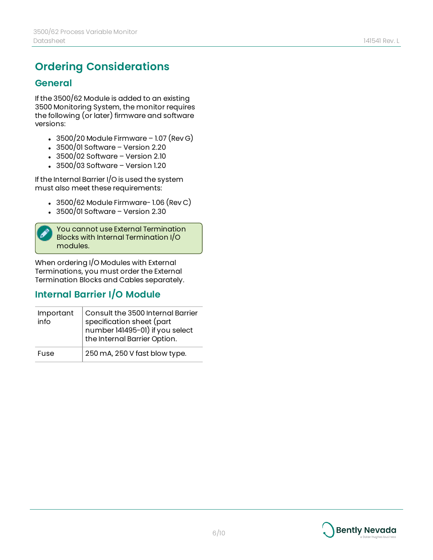# **Ordering Considerations**

#### **General**

If the 3500/62 Module is added to an existing 3500 Monitoring System, the monitor requires the following (or later) firmware and software versions:

- $\cdot$  3500/20 Module Firmware 1.07 (Rev G)
- $\cdot$  3500/01 Software Version 2.20
- $\cdot$  3500/02 Software Version 2.10
- $\cdot$  3500/03 Software Version 1.20

If the Internal Barrier I/O is used the system must also meet these requirements:

- $\cdot$  3500/62 Module Firmware- 1.06 (Rev C)
- $\cdot$  3500/01 Software Version 2.30

You cannot use External Termination Blocks with Internal Termination I/O modules.

When ordering I/O Modules with External Terminations, you must order the External Termination Blocks and Cables separately.

### **Internal Barrier I/O Module**

| Important<br>info | Consult the 3500 Internal Barrier<br>specification sheet (part<br>number 141495-01) if you select<br>the Internal Barrier Option. |
|-------------------|-----------------------------------------------------------------------------------------------------------------------------------|
| Fuse              | 250 mA, 250 V fast blow type.                                                                                                     |

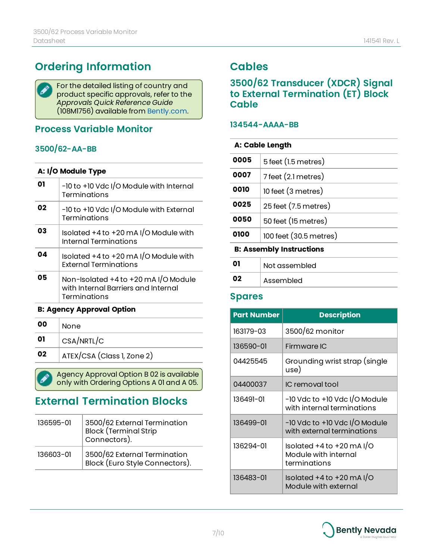# **Ordering Information**

For the detailed listing of country and ◢ product specific approvals, refer to the *Approvals Quick Reference Guide* (108M1756) available from [Bently.com.](http://www.bently.com/)

### **Process Variable Monitor**

### **3500/62-AA-BB**

#### **A: I/O Module Type**

|    | -10 to +10 Vdc I/O Module with Internal<br><b>Terminations</b>                              |
|----|---------------------------------------------------------------------------------------------|
| 02 | -10 to +10 Vdc I/O Module with External<br>Terminations                                     |
| 03 | Isolated $+4$ to $+20$ mA I/O Module with<br>Internal Terminations                          |
| 04 | Isolated $+4$ to $+20$ mA I/O Module with<br><b>External Terminations</b>                   |
| 05 | Non-Isolated +4 to +20 mA I/O Module<br>with Internal Barriers and Internal<br>Terminations |

#### **B: Agency Approval Option**

| 00 | None                       |
|----|----------------------------|
| 01 | CSA/NRTL/C                 |
| 02 | ATEX/CSA (Class 1, Zone 2) |
|    |                            |

Agency Approval Option B 02 is available only with Ordering Options A 01 and A 05.

# **External Termination Blocks**

| 136595-01 | 3500/62 External Termination<br>Block (Terminal Strip<br>Connectors). |
|-----------|-----------------------------------------------------------------------|
| 136603-01 | 3500/62 External Termination<br>Block (Euro Style Connectors).        |

# **Cables**

### **3500/62 Transducer (XDCR) Signal to External Termination (ET) Block Cable**

#### **134544-AAAA-BB**

| A: Cable Length                 |                        |  |
|---------------------------------|------------------------|--|
| 0005                            | 5 feet (1.5 metres)    |  |
| 0007                            | 7 feet (2.1 metres)    |  |
| 0010                            | 10 feet (3 metres)     |  |
| 0025                            | 25 feet (7.5 metres)   |  |
| 0050                            | 50 feet (15 metres)    |  |
| 0100                            | 100 feet (30.5 metres) |  |
| <b>B: Assembly Instructions</b> |                        |  |
| 01                              | Not assembled          |  |
| 02                              | Assembled              |  |

### **Spares**

| <b>Part Number</b> | <b>Description</b>                                                    |
|--------------------|-----------------------------------------------------------------------|
| 163179-03          | 3500/62 monitor                                                       |
| 136590-01          | Firmware IC                                                           |
| 04425545           | Grounding wrist strap (single<br>use)                                 |
| 04400037           | IC removal tool                                                       |
| 136491-01          | -10 Vdc to +10 Vdc I/O Module<br>with internal terminations           |
| 136499-01          | $-10$ Vdc to $+10$ Vdc I/O Module<br>with external terminations       |
| 136294-01          | Isolated $+4$ to $+20$ mA I/O<br>Module with internal<br>terminations |
| 136483-01          | Isolated $+4$ to $+20$ mA I/O<br>Module with external                 |

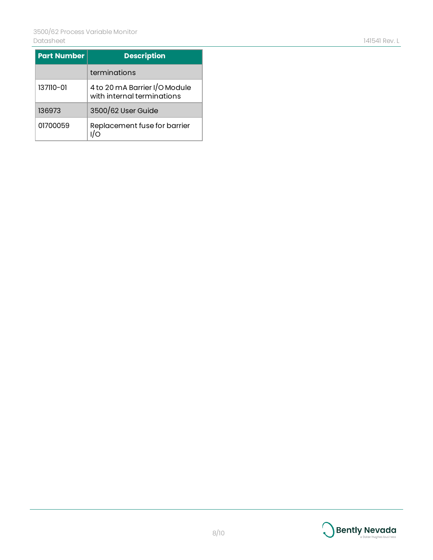| <b>Part Number</b> | <b>Description</b>                                          |
|--------------------|-------------------------------------------------------------|
|                    | terminations                                                |
| 137110-01          | 4 to 20 mA Barrier I/O Module<br>with internal terminations |
| 136973             | 3500/62 User Guide                                          |
| 01700059           | Replacement fuse for barrier                                |

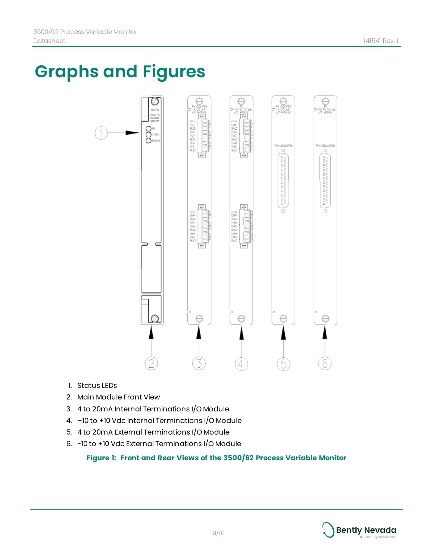# **Graphs and Figures**



- 1. Status LEDs
- 2. Main Module Front View
- 3. 4 to 20mA Internal Terminations I/O Module
- 4. –10 to +10 Vdc Internal Terminations I/O Module
- 5. 4 to 20mA External Terminations I/O Module
- 6. -10 to +10 Vdc External Terminations I/O Module

#### **Figure 1: Front and Rear Views of the 3500/62 Process Variable Monitor**